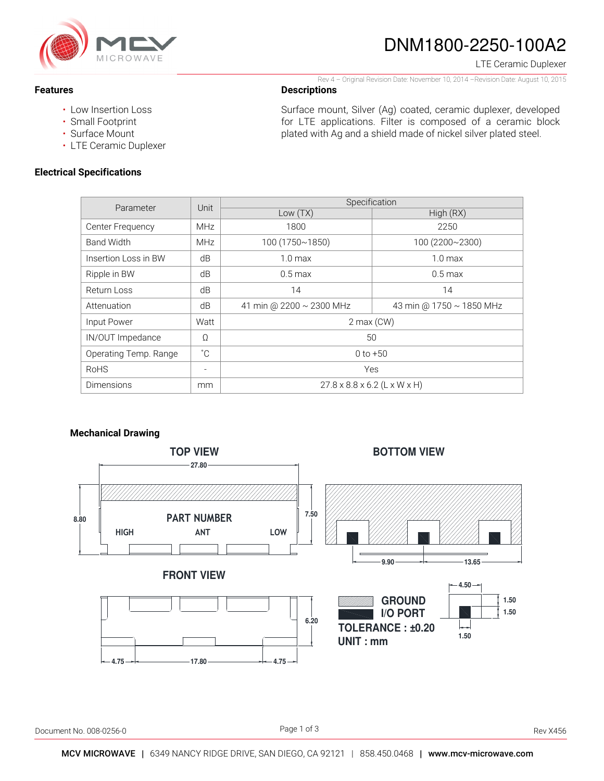

# DNM1800-2250-100A2

LTE Ceramic Duplexer

#### Rev 4 – Original Revision Date: November 10, 2014 –Revision Date: August 10, 2015

## **Descriptions**

• Low Insertion Loss

• Small Footprint

**Features** 

- Surface Mount
- LTE Ceramic Duplexer

## **Electrical Specifications**

Surface mount, Silver (Ag) coated, ceramic duplexer, developed for LTE applications. Filter is composed of a ceramic block plated with Ag and a shield made of nickel silver plated steel.

| Parameter             | Unit                     | Specification                            |                          |
|-----------------------|--------------------------|------------------------------------------|--------------------------|
|                       |                          | Low $(TX)$                               | High (RX)                |
| Center Frequency      | <b>MHz</b>               | 1800                                     | 2250                     |
| <b>Band Width</b>     | <b>MHz</b>               | 100 (1750~1850)                          | 100 (2200~2300)          |
| Insertion Loss in BW  | dB                       | $1.0 \text{ max}$                        | 1.0 <sub>max</sub>       |
| Ripple in BW          | dB                       | $0.5 \,\mathrm{max}$                     | $0.5 \,\mathrm{max}$     |
| Return Loss           | dB                       | 14                                       | 14                       |
| Attenuation           | dB                       | 41 min @ 2200 ~ 2300 MHz                 | 43 min @ 1750 ~ 1850 MHz |
| Input Power           | Watt                     | $2$ max $(CW)$                           |                          |
| IN/OUT Impedance      | $\Omega$                 | 50                                       |                          |
| Operating Temp. Range | $^{\circ}$ C             | $0 to +50$                               |                          |
| <b>RoHS</b>           | $\overline{\phantom{a}}$ | Yes                                      |                          |
| Dimensions            | mm                       | $27.8 \times 8.8 \times 6.2$ (L x W x H) |                          |

### **Mechanical Drawing**

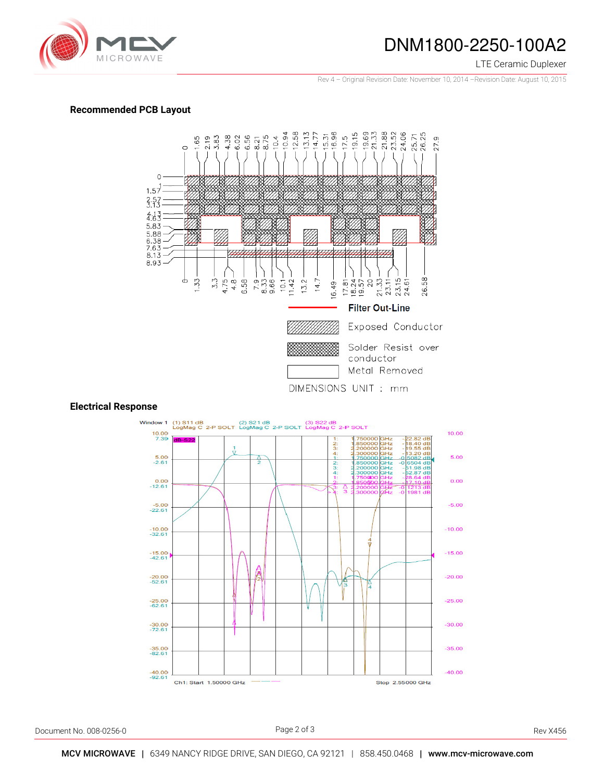

# DNM1800-2250-100A2

#### LTE Ceramic Duplexer

Rev 4 – Original Revision Date: November 10, 2014 –Revision Date: August 10, 2015

#### **Recommended PCB Layout**



## **Electrical Response**



Document No. 008-0256-0 Rev X456

Page 2 of 3